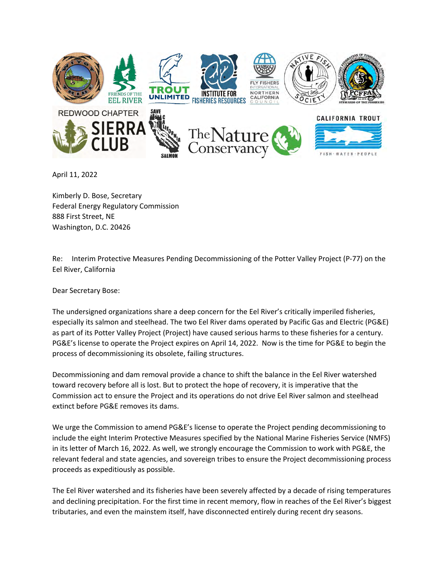

April 11, 2022

Kimberly D. Bose, Secretary Federal Energy Regulatory Commission 888 First Street, NE Washington, D.C. 20426

Re: Interim Protective Measures Pending Decommissioning of the Potter Valley Project (P-77) on the Eel River, California

Dear Secretary Bose:

The undersigned organizations share a deep concern for the Eel River's critically imperiled fisheries, especially its salmon and steelhead. The two Eel River dams operated by Pacific Gas and Electric (PG&E) as part of its Potter Valley Project (Project) have caused serious harms to these fisheries for a century. PG&E's license to operate the Project expires on April 14, 2022. Now is the time for PG&E to begin the process of decommissioning its obsolete, failing structures.

Decommissioning and dam removal provide a chance to shift the balance in the Eel River watershed toward recovery before all is lost. But to protect the hope of recovery, it is imperative that the Commission act to ensure the Project and its operations do not drive Eel River salmon and steelhead extinct before PG&E removes its dams.

We urge the Commission to amend PG&E's license to operate the Project pending decommissioning to include the eight Interim Protective Measures specified by the National Marine Fisheries Service (NMFS) in its letter of March 16, 2022. As well, we strongly encourage the Commission to work with PG&E, the relevant federal and state agencies, and sovereign tribes to ensure the Project decommissioning process proceeds as expeditiously as possible.

The Eel River watershed and its fisheries have been severely affected by a decade of rising temperatures and declining precipitation. For the first time in recent memory, flow in reaches of the Eel River's biggest tributaries, and even the mainstem itself, have disconnected entirely during recent dry seasons.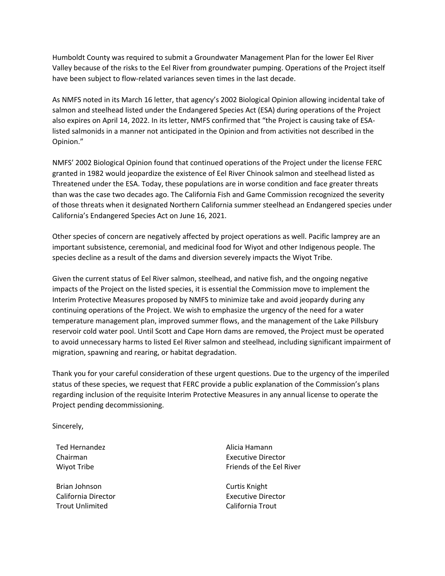Humboldt County was required to submit a Groundwater Management Plan for the lower Eel River Valley because of the risks to the Eel River from groundwater pumping. Operations of the Project itself have been subject to flow-related variances seven times in the last decade.

As NMFS noted in its March 16 letter, that agency's 2002 Biological Opinion allowing incidental take of salmon and steelhead listed under the Endangered Species Act (ESA) during operations of the Project also expires on April 14, 2022. In its letter, NMFS confirmed that "the Project is causing take of ESAlisted salmonids in a manner not anticipated in the Opinion and from activities not described in the Opinion."

NMFS' 2002 Biological Opinion found that continued operations of the Project under the license FERC granted in 1982 would jeopardize the existence of Eel River Chinook salmon and steelhead listed as Threatened under the ESA. Today, these populations are in worse condition and face greater threats than was the case two decades ago. The California Fish and Game Commission recognized the severity of those threats when it designated Northern California summer steelhead an Endangered species under California's Endangered Species Act on June 16, 2021.

Other species of concern are negatively affected by project operations as well. Pacific lamprey are an important subsistence, ceremonial, and medicinal food for Wiyot and other Indigenous people. The species decline as a result of the dams and diversion severely impacts the Wiyot Tribe.

Given the current status of Eel River salmon, steelhead, and native fish, and the ongoing negative impacts of the Project on the listed species, it is essential the Commission move to implement the Interim Protective Measures proposed by NMFS to minimize take and avoid jeopardy during any continuing operations of the Project. We wish to emphasize the urgency of the need for a water temperature management plan, improved summer flows, and the management of the Lake Pillsbury reservoir cold water pool. Until Scott and Cape Horn dams are removed, the Project must be operated to avoid unnecessary harms to listed Eel River salmon and steelhead, including significant impairment of migration, spawning and rearing, or habitat degradation.

Thank you for your careful consideration of these urgent questions. Due to the urgency of the imperiled status of these species, we request that FERC provide a public explanation of the Commission's plans regarding inclusion of the requisite Interim Protective Measures in any annual license to operate the Project pending decommissioning.

Sincerely,

Ted Hernandez Chairman Wiyot Tribe

Brian Johnson California Director Trout Unlimited

Alicia Hamann Executive Director Friends of the Eel River

Curtis Knight Executive Director California Trout